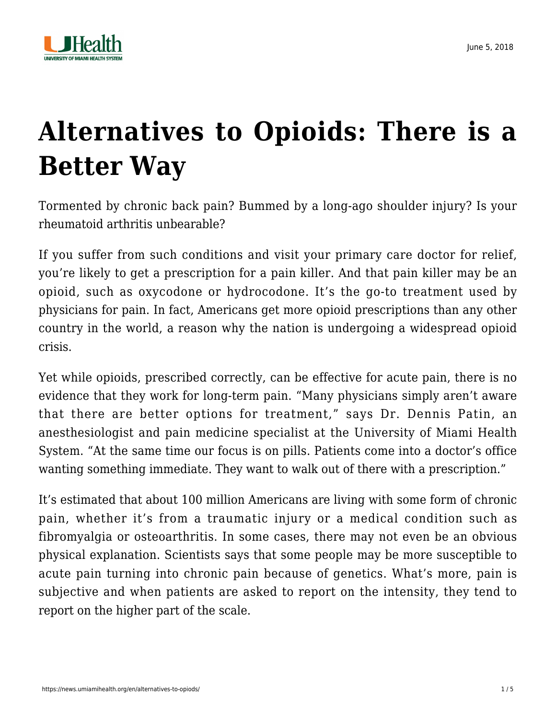

# **[Alternatives to Opioids: There is a](https://news.umiamihealth.org/en/alternatives-to-opiods/) [Better Way](https://news.umiamihealth.org/en/alternatives-to-opiods/)**

Tormented by chronic back pain? Bummed by a long-ago shoulder injury? Is your rheumatoid arthritis unbearable?

If you suffer from such conditions and visit your primary care doctor for relief, you're likely to get a prescription for a pain killer. And that pain killer may be an opioid, such as oxycodone or hydrocodone. It's the go-to treatment used by physicians for pain. In fact, Americans get more opioid prescriptions than any other country in the world, a reason why the nation is undergoing a widespread opioid crisis.

Yet while opioids, prescribed correctly, can be effective for acute pain, there is no evidence that they work for long-term pain. "Many physicians simply aren't aware that there are better options for treatment," says Dr. Dennis Patin, an anesthesiologist and pain medicine specialist at the University of Miami Health System. "At the same time our focus is on pills. Patients come into a doctor's office wanting something immediate. They want to walk out of there with a prescription."

It's estimated that about 100 million Americans are living with some form of chronic pain, whether it's from a traumatic injury or a medical condition such as fibromyalgia or osteoarthritis. In some cases, there may not even be an obvious physical explanation. Scientists says that some people may be more susceptible to acute pain turning into chronic pain because of genetics. What's more, pain is subjective and when patients are asked to report on the intensity, they tend to report on the higher part of the scale.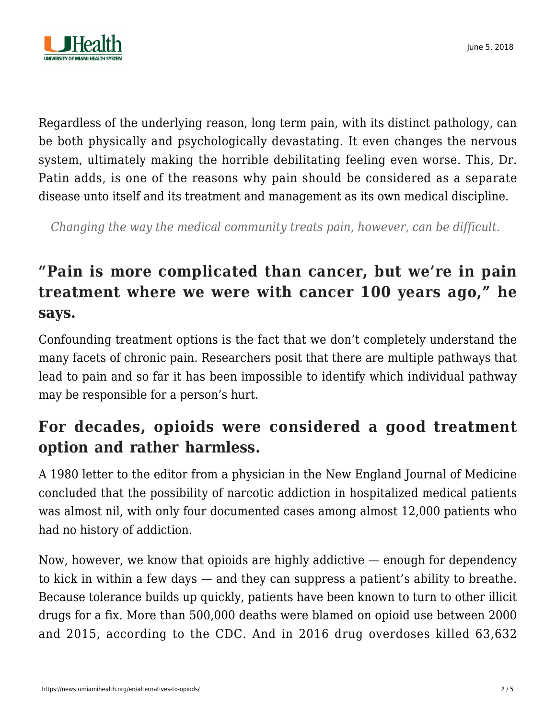

Regardless of the underlying reason, long term pain, with its distinct pathology, can be both physically and psychologically devastating. It even changes the nervous system, ultimately making the horrible debilitating feeling even worse. This, Dr. Patin adds, is one of the reasons why pain should be considered as a separate disease unto itself and its treatment and management as its own medical discipline.

*Changing the way the medical community treats pain, however, can be difficult.*

# **"Pain is more complicated than cancer, but we're in pain treatment where we were with cancer 100 years ago," he says.**

Confounding treatment options is the fact that we don't completely understand the many facets of chronic pain. Researchers posit that there are multiple pathways that lead to pain and so far it has been impossible to identify which individual pathway may be responsible for a person's hurt.

## **For decades, opioids were considered a good treatment option and rather harmless.**

A 1980 letter to the editor from a physician in the New England Journal of Medicine concluded that the possibility of narcotic addiction in hospitalized medical patients was almost nil, with only four documented cases among almost 12,000 patients who had no history of addiction.

Now, however, we know that opioids are highly addictive — enough for dependency to kick in within a few days — and they can suppress a patient's ability to breathe. Because tolerance builds up quickly, patients have been known to turn to other illicit drugs for a fix. More than 500,000 deaths were blamed on opioid use between 2000 and 2015, according to the CDC. And in 2016 drug overdoses killed 63,632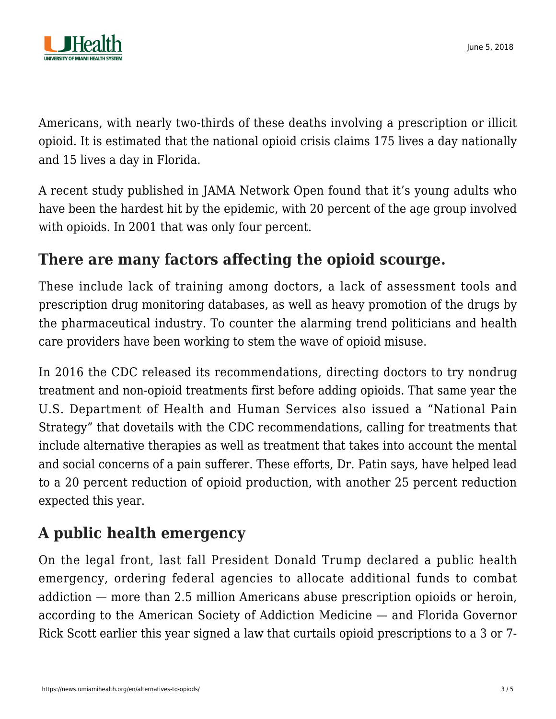

Americans, with nearly two-thirds of these deaths involving a prescription or illicit opioid. It is estimated that the national opioid crisis claims 175 lives a day nationally and 15 lives a day in Florida.

A recent study published in JAMA Network Open found that it's young adults who have been the hardest hit by the epidemic, with 20 percent of the age group involved with opioids. In 2001 that was only four percent.

#### **There are many factors affecting the opioid scourge.**

These include lack of training among doctors, a lack of assessment tools and prescription drug monitoring databases, as well as heavy promotion of the drugs by the pharmaceutical industry. To counter the alarming trend politicians and health care providers have been working to stem the wave of opioid misuse.

In 2016 the CDC released its recommendations, directing doctors to try nondrug treatment and non-opioid treatments first before adding opioids. That same year the U.S. Department of Health and Human Services also issued a "National Pain Strategy" that dovetails with the CDC recommendations, calling for treatments that include alternative therapies as well as treatment that takes into account the mental and social concerns of a pain sufferer. These efforts, Dr. Patin says, have helped lead to a 20 percent reduction of opioid production, with another 25 percent reduction expected this year.

# **A public health emergency**

On the legal front, last fall President Donald Trump declared a public health emergency, ordering federal agencies to allocate additional funds to combat addiction — more than 2.5 million Americans abuse prescription opioids or heroin, according to the American Society of Addiction Medicine — and Florida Governor Rick Scott earlier this year signed a law that curtails opioid prescriptions to a 3 or 7-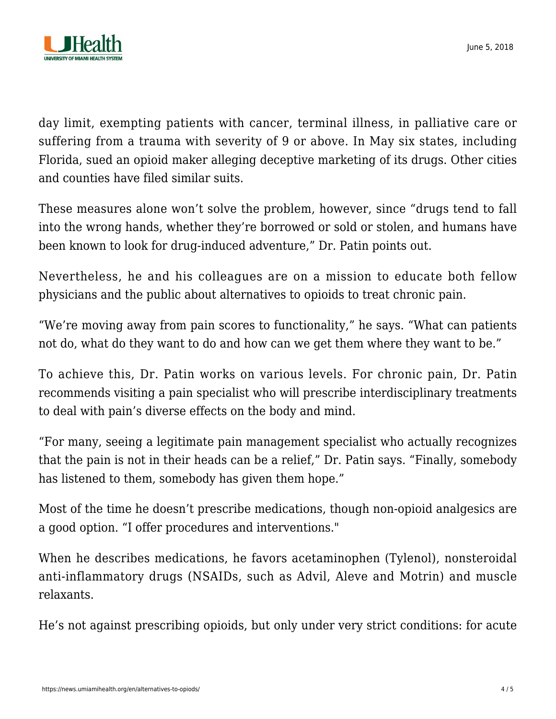

June 5, 2018

day limit, exempting patients with cancer, terminal illness, in palliative care or suffering from a trauma with severity of 9 or above. In May six states, including Florida, sued an opioid maker alleging deceptive marketing of its drugs. Other cities and counties have filed similar suits.

These measures alone won't solve the problem, however, since "drugs tend to fall into the wrong hands, whether they're borrowed or sold or stolen, and humans have been known to look for drug-induced adventure," Dr. Patin points out.

Nevertheless, he and his colleagues are on a mission to educate both fellow physicians and the public about alternatives to opioids to treat chronic pain.

"We're moving away from pain scores to functionality," he says. "What can patients not do, what do they want to do and how can we get them where they want to be."

To achieve this, Dr. Patin works on various levels. For chronic pain, Dr. Patin recommends visiting a pain specialist who will prescribe interdisciplinary treatments to deal with pain's diverse effects on the body and mind.

"For many, seeing a legitimate pain management specialist who actually recognizes that the pain is not in their heads can be a relief," Dr. Patin says. "Finally, somebody has listened to them, somebody has given them hope."

Most of the time he doesn't prescribe medications, though non-opioid analgesics are a good option. "I offer procedures and interventions."

When he describes medications, he favors acetaminophen (Tylenol), nonsteroidal anti-inflammatory drugs (NSAIDs, such as Advil, Aleve and Motrin) and muscle relaxants.

He's not against prescribing opioids, but only under very strict conditions: for acute